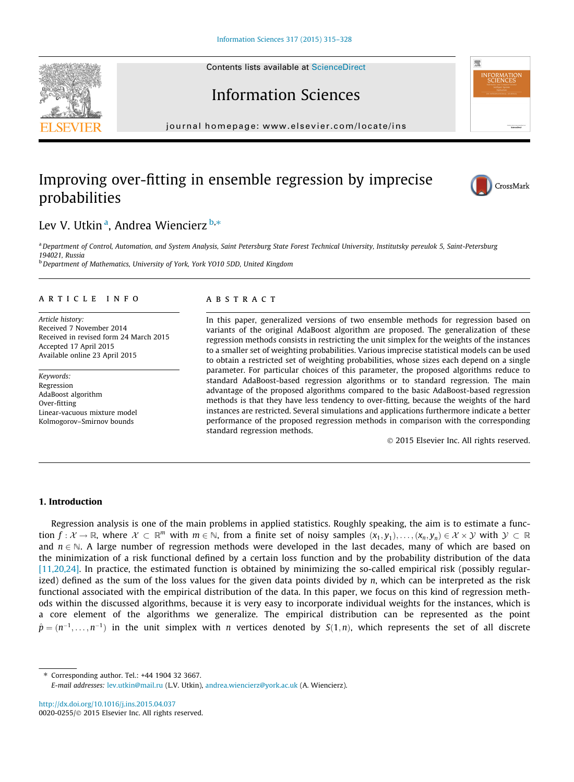Contents lists available at [ScienceDirect](http://www.sciencedirect.com/science/journal/00200255)





# Information Sciences

journal homepage: [www.elsevier.com/locate/ins](http://www.elsevier.com/locate/ins)

# Improving over-fitting in ensemble regression by imprecise probabilities



# Lev V. Utkin<sup>a</sup>, Andrea Wiencierz b,\*

a Department of Control, Automation, and System Analysis, Saint Petersburg State Forest Technical University, Institutsky pereulok 5, Saint-Petersburg 194021, Russia

b Department of Mathematics, University of York, York YO10 5DD, United Kingdom

#### article info

Article history: Received 7 November 2014 Received in revised form 24 March 2015 Accepted 17 April 2015 Available online 23 April 2015

Keywords: Regression AdaBoost algorithm Over-fitting Linear-vacuous mixture model Kolmogorov–Smirnov bounds

# ABSTRACT

In this paper, generalized versions of two ensemble methods for regression based on variants of the original AdaBoost algorithm are proposed. The generalization of these regression methods consists in restricting the unit simplex for the weights of the instances to a smaller set of weighting probabilities. Various imprecise statistical models can be used to obtain a restricted set of weighting probabilities, whose sizes each depend on a single parameter. For particular choices of this parameter, the proposed algorithms reduce to standard AdaBoost-based regression algorithms or to standard regression. The main advantage of the proposed algorithms compared to the basic AdaBoost-based regression methods is that they have less tendency to over-fitting, because the weights of the hard instances are restricted. Several simulations and applications furthermore indicate a better performance of the proposed regression methods in comparison with the corresponding standard regression methods.

- 2015 Elsevier Inc. All rights reserved.

# 1. Introduction

Regression analysis is one of the main problems in applied statistics. Roughly speaking, the aim is to estimate a function  $f:\mathcal{X}\to\mathbb{R}$ , where  $\mathcal{X}\subset\mathbb{R}^m$  with  $m\in\mathbb{N}$ , from a finite set of noisy samples  $(x_1,y_1),\ldots,(x_n,y_n)\in\mathcal{X}\times\mathcal{Y}$  with  $\mathcal{Y}\subset\mathbb{R}$ and  $n \in \mathbb{N}$ . A large number of regression methods were developed in the last decades, many of which are based on the minimization of a risk functional defined by a certain loss function and by the probability distribution of the data [\[11,20,24\]](#page-13-0). In practice, the estimated function is obtained by minimizing the so-called empirical risk (possibly regularized) defined as the sum of the loss values for the given data points divided by  $n$ , which can be interpreted as the risk functional associated with the empirical distribution of the data. In this paper, we focus on this kind of regression methods within the discussed algorithms, because it is very easy to incorporate individual weights for the instances, which is a core element of the algorithms we generalize. The empirical distribution can be represented as the point  $\hat{p} = (n^{-1}, \dots, n^{-1})$  in the unit simplex with n vertices denoted by  $S(1, n)$ , which represents the set of all discrete

⇑ Corresponding author. Tel.: +44 1904 32 3667.

E-mail addresses: [lev.utkin@mail.ru](mailto:lev.utkin@mail.ru) (L.V. Utkin), [andrea.wiencierz@york.ac.uk](mailto:andrea.wiencierz@york.ac.uk) (A. Wiencierz).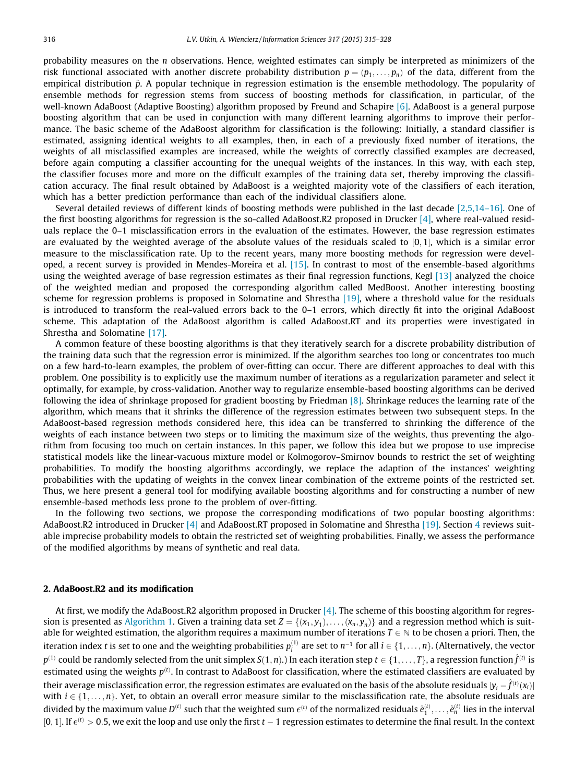probability measures on the  $n$  observations. Hence, weighted estimates can simply be interpreted as minimizers of the risk functional associated with another discrete probability distribution  $p = (p_1, \ldots, p_n)$  of the data, different from the empirical distribution  $\hat{p}$ . A popular technique in regression estimation is the ensemble methodology. The popularity of ensemble methods for regression stems from success of boosting methods for classification, in particular, of the well-known AdaBoost (Adaptive Boosting) algorithm proposed by Freund and Schapire [\[6\]](#page-13-0). AdaBoost is a general purpose boosting algorithm that can be used in conjunction with many different learning algorithms to improve their performance. The basic scheme of the AdaBoost algorithm for classification is the following: Initially, a standard classifier is estimated, assigning identical weights to all examples, then, in each of a previously fixed number of iterations, the weights of all misclassified examples are increased, while the weights of correctly classified examples are decreased, before again computing a classifier accounting for the unequal weights of the instances. In this way, with each step, the classifier focuses more and more on the difficult examples of the training data set, thereby improving the classification accuracy. The final result obtained by AdaBoost is a weighted majority vote of the classifiers of each iteration, which has a better prediction performance than each of the individual classifiers alone.

Several detailed reviews of different kinds of boosting methods were published in the last decade [\[2,5,14–16\]](#page-13-0). One of the first boosting algorithms for regression is the so-called AdaBoost.R2 proposed in Drucker [\[4\],](#page-13-0) where real-valued residuals replace the 0–1 misclassification errors in the evaluation of the estimates. However, the base regression estimates are evaluated by the weighted average of the absolute values of the residuals scaled to  $[0,1]$ , which is a similar error measure to the misclassification rate. Up to the recent years, many more boosting methods for regression were developed, a recent survey is provided in Mendes-Moreira et al. [\[15\]](#page-13-0). In contrast to most of the ensemble-based algorithms using the weighted average of base regression estimates as their final regression functions, Kegl [\[13\]](#page-13-0) analyzed the choice of the weighted median and proposed the corresponding algorithm called MedBoost. Another interesting boosting scheme for regression problems is proposed in Solomatine and Shrestha [\[19\]](#page-13-0), where a threshold value for the residuals is introduced to transform the real-valued errors back to the 0–1 errors, which directly fit into the original AdaBoost scheme. This adaptation of the AdaBoost algorithm is called AdaBoost.RT and its properties were investigated in Shrestha and Solomatine [\[17\]](#page-13-0).

A common feature of these boosting algorithms is that they iteratively search for a discrete probability distribution of the training data such that the regression error is minimized. If the algorithm searches too long or concentrates too much on a few hard-to-learn examples, the problem of over-fitting can occur. There are different approaches to deal with this problem. One possibility is to explicitly use the maximum number of iterations as a regularization parameter and select it optimally, for example, by cross-validation. Another way to regularize ensemble-based boosting algorithms can be derived following the idea of shrinkage proposed for gradient boosting by Friedman [\[8\].](#page-13-0) Shrinkage reduces the learning rate of the algorithm, which means that it shrinks the difference of the regression estimates between two subsequent steps. In the AdaBoost-based regression methods considered here, this idea can be transferred to shrinking the difference of the weights of each instance between two steps or to limiting the maximum size of the weights, thus preventing the algorithm from focusing too much on certain instances. In this paper, we follow this idea but we propose to use imprecise statistical models like the linear-vacuous mixture model or Kolmogorov–Smirnov bounds to restrict the set of weighting probabilities. To modify the boosting algorithms accordingly, we replace the adaption of the instances' weighting probabilities with the updating of weights in the convex linear combination of the extreme points of the restricted set. Thus, we here present a general tool for modifying available boosting algorithms and for constructing a number of new ensemble-based methods less prone to the problem of over-fitting.

In the following two sections, we propose the corresponding modifications of two popular boosting algorithms: AdaBoost.R2 introduced in Drucker [\[4\]](#page-13-0) and AdaBoost.RT proposed in Solomatine and Shrestha [\[19\]](#page-13-0). Section [4](#page-6-0) reviews suitable imprecise probability models to obtain the restricted set of weighting probabilities. Finally, we assess the performance of the modified algorithms by means of synthetic and real data.

#### 2. AdaBoost.R2 and its modification

At first, we modify the AdaBoost.R2 algorithm proposed in Drucker [\[4\].](#page-13-0) The scheme of this boosting algorithm for regression is presented as Algorithm 1. Given a training data set  $Z = \{(x_1, y_1), \ldots, (x_n, y_n)\}\$  and a regression method which is suitable for weighted estimation, the algorithm requires a maximum number of iterations  $T \in \mathbb{N}$  to be chosen a priori. Then, the iteration index  $t$  is set to one and the weighting probabilities  $p_i^{(1)}$  are set to  $n^{-1}$  for all  $i\in\{1,\ldots,n\}.$  (Alternatively, the vector  $p^{(1)}$  could be randomly selected from the unit simplex  $S(1, n)$ .) In each iteration step  $t \in \{1, \ldots, T\}$ , a regression function  $\hat{f}^{(t)}$  is estimated using the weights  $p^{(t)}$ . In contrast to AdaBoost for classification, where the estimated classifiers are evaluated by their average misclassification error, the regression estimates are evaluated on the basis of the absolute residuals  $|y_i - \hat f^{(t)}(x_i)|$ with  $i \in \{1, \ldots, n\}$ . Yet, to obtain an overall error measure similar to the misclassification rate, the absolute residuals are divided by the maximum value  $D^{(t)}$  such that the weighted sum  $\epsilon^{(t)}$  of the normalized residuals  $\hat{e}_1^{(t)},\ldots,\hat{e}_n^{(t)}$  lies in the interval [0, 1]. If  $\epsilon^{(t)} > 0.5$ , we exit the loop and use only the first  $t-1$  regression estimates to determine the final result. In the context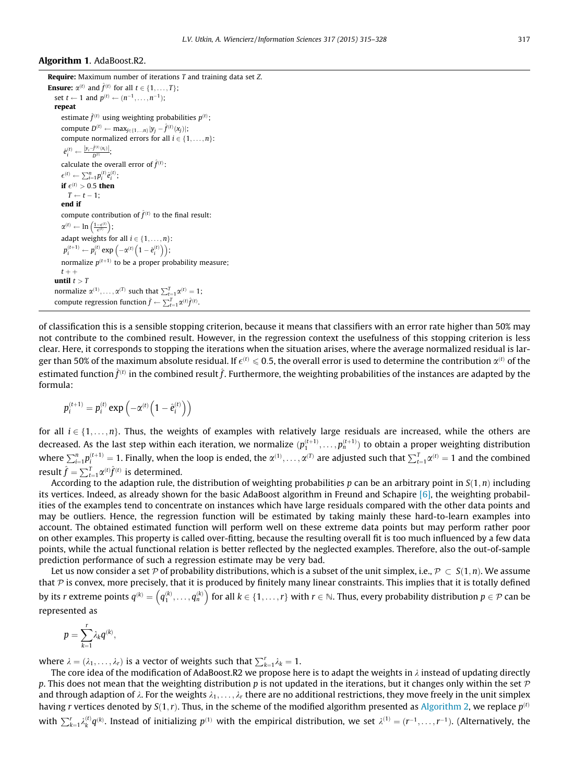### Algorithm 1. AdaBoost.R2.

```
Require: Maximum number of iterations T and training data set Z.
Ensure: \alpha^{(t)} and \hat{f}^{(t)} for all t \in \{1, \dots, T\};
   set t \leftarrow 1 and p^{(t)} \leftarrow (n^{-1}, \ldots, n^{-1});
   repeat
       estimate \hat{f}^{(t)} using weighting probabilities p^{(t)};
       compute D^{(t)} \leftarrow \max_{j \in \{1,\ldots,n\}} |y_j - \hat{f}^{(t)}(x_j)|;compute normalized errors for all i \in \{1, \ldots, n\}:
         \hat{e}_i^{(t)} \leftarrow \frac{|y_i - \hat{f}^{(t)}(x_i)|}{D^{(t)}};calculate the overall error of \hat{f}^{(t)}:
       \epsilon^{(t)} \leftarrow \sum_{i=1}^n p_i^{(t)} \hat{e}_i^{(t)};
       if \epsilon^{(t)} > 0.5 then
          T \leftarrow t - 1;
       end if
       compute contribution of \hat{f}^{(t)} to the final result:
       \alpha^{(t)} \leftarrow \ln\left(\frac{1-\epsilon^{(t)}}{\epsilon^{(t)}}\right);adapt weights for all i \in \{1, \ldots, n\}:
         p_i^{(t+1)} \leftarrow p_i^{(t)} \exp \left(-\alpha^{(t)} \left(1-\hat{e}_i^{(t)}\right)\right);normalize p^{(t+1)} to be a proper probability measure;
      t + +until t > Tnormalize \alpha^{(1)}, \ldots, \alpha^{(T)} such that \sum_{t=1}^{T} \alpha^{(t)} = 1;
    compute regression function \hat{f} \leftarrow \sum_{t=1}^{T} \alpha^{(t)} \hat{f}^{(t)}.
```
of classification this is a sensible stopping criterion, because it means that classifiers with an error rate higher than 50% may not contribute to the combined result. However, in the regression context the usefulness of this stopping criterion is less clear. Here, it corresponds to stopping the iterations when the situation arises, where the average normalized residual is larger than 50% of the maximum absolute residual. If  $\epsilon^{(t)}\leqslant 0.5,$  the overall error is used to determine the contribution  $\alpha^{(t)}$  of the estimated function  $\hat{f}^{(t)}$  in the combined result  $\hat{f}$ . Furthermore, the weighting probabilities of the instances are adapted by the formula:

$$
p_i^{(t+1)} = p_i^{(t)} \exp\left(-\alpha^{(t)} \left(1 - \hat{e}_i^{(t)}\right)\right)
$$

for all  $i \in \{1, \ldots, n\}$ . Thus, the weights of examples with relatively large residuals are increased, while the others are decreased. As the last step within each iteration, we normalize  $(p_1^{(t+1)},\ldots,p_n^{(t+1)})$  to obtain a proper weighting distribution where  $\sum_{i=1}^n p_i^{(t+1)} = 1$ . Finally, when the loop is ended, the  $\alpha^{(1)}, \ldots, \alpha^{(T)}$  are adjusted such that  $\sum_{t=1}^T \alpha^{(t)} = 1$  and the combined result  $\hat{f} = \sum_{t=1}^T \alpha^{(t)} \hat{f}^{(t)}$  is determined.

According to the adaption rule, the distribution of weighting probabilities p can be an arbitrary point in  $S(1, n)$  including its vertices. Indeed, as already shown for the basic AdaBoost algorithm in Freund and Schapire [\[6\],](#page-13-0) the weighting probabilities of the examples tend to concentrate on instances which have large residuals compared with the other data points and may be outliers. Hence, the regression function will be estimated by taking mainly these hard-to-learn examples into account. The obtained estimated function will perform well on these extreme data points but may perform rather poor on other examples. This property is called over-fitting, because the resulting overall fit is too much influenced by a few data points, while the actual functional relation is better reflected by the neglected examples. Therefore, also the out-of-sample prediction performance of such a regression estimate may be very bad.

Let us now consider a set  ${\cal P}$  of probability distributions, which is a subset of the unit simplex, i.e.,  ${\cal P}\, \subset\, S(1,n).$  We assume that  $P$  is convex, more precisely, that it is produced by finitely many linear constraints. This implies that it is totally defined by its r extreme points  $q^{(k)} = \left(q_1^{(k)}, \ldots, q_n^{(k)}\right)$  for all  $k \in \{1, \ldots, r\}$  with  $r \in \mathbb{N}$ . Thus, every probability distribution  $p \in \mathcal{P}$  can be represented as

$$
p=\sum_{k=1}^r\lambda_kq^{(k)},
$$

where  $\lambda = (\lambda_1, \ldots, \lambda_r)$  is a vector of weights such that  $\sum_{k=1}^r \lambda_k = 1$ .

The core idea of the modification of AdaBoost.R2 we propose here is to adapt the weights in  $\lambda$  instead of updating directly p. This does not mean that the weighting distribution p is not updated in the iterations, but it changes only within the set  $\mathcal P$ and through adaption of  $\lambda$ . For the weights  $\lambda_1, \ldots, \lambda_r$  there are no additional restrictions, they move freely in the unit simplex having r vertices denoted by  $S(1, r)$ . Thus, in the scheme of the modified algorithm presented as [Algorithm 2,](#page-3-0) we replace  $p^{(t)}$ with  $\sum_{k=1}^r \lambda_k^{(t)} q^{(k)}$ . Instead of initializing  $p^{(1)}$  with the empirical distribution, we set  $\lambda^{(1)} = (r^{-1}, \ldots, r^{-1})$ . (Alternatively, the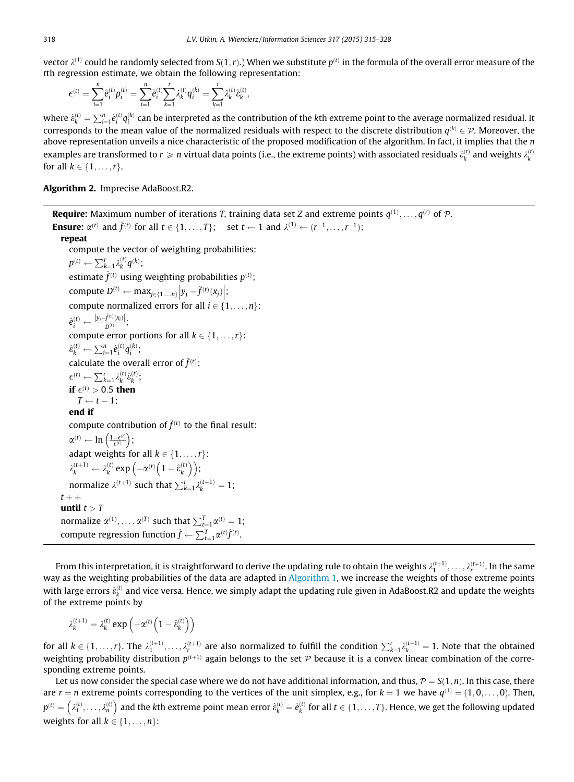<span id="page-3-0"></span>vector  $\lambda^{(1)}$  could be randomly selected from  $S(1,r)$ .) When we substitute  $p^{(t)}$  in the formula of the overall error measure of the tth regression estimate, we obtain the following representation:

$$
\epsilon^{(t)} = \sum_{i=1}^n \hat{e}_i^{(t)} p_i^{(t)} = \sum_{i=1}^n \hat{e}_i^{(t)} \sum_{k=1}^r \lambda_k^{(t)} q_i^{(k)} = \sum_{k=1}^r \lambda_k^{(t)} \hat{e}_k^{(t)},
$$

where  $\hat{e}_k^{(t)}=\sum_{i=1}^n\hat{e}_i^{(t)}q_i^{(k)}$  can be interpreted as the contribution of the kth extreme point to the average normalized residual. It corresponds to the mean value of the normalized residuals with respect to the discrete distribution  $q^{(k)} \in \mathcal{P}$ . Moreover, the above representation unveils a nice characteristic of the proposed modification of the algorithm. In fact, it implies that the n examples are transformed to  $r\geqslant n$  virtual data points (i.e., the extreme points) with associated residuals  $\hat{\epsilon}_k^{(t)}$  and weights  $\lambda_k^{(t)}$ for all  $k \in \{1, \ldots, r\}$ .

Algorithm 2. Imprecise AdaBoost.R2.

**Require:** Maximum number of iterations T, training data set Z and extreme points  $q^{(1)},\ldots,q^{(r)}$  of  $\mathcal{P}$ . **Ensure:**  $\alpha^{(t)}$  and  $\hat{f}^{(t)}$  for all  $t \in \{1, \ldots, T\}$ ; set  $t \leftarrow 1$  and  $\lambda^{(1)} \leftarrow (r^{-1}, \ldots, r^{-1})$ ; repeat compute the vector of weighting probabilities:  $p^{(t)} \leftarrow \sum_{k=1}^r \lambda_k^{(t)} q^{(k)}$ ; estimate  $\hat{f}^{(t)}$  using weighting probabilities  $p^{(t)}$ ; compute  $D^{(t)} \leftarrow \max_{j \in \{1, ..., n\}} \left| y_j - \hat{f}^{(t)}(x_j) \right|$  ; compute normalized errors for all  $i \in \{1, \ldots, n\}$ :  $\hat{e}_i^{(t)} \leftarrow \frac{|y_i-\hat{f}^{(t)}(x_i)|}{D^{(t)}};$ compute error portions for all  $k \in \{1, \ldots, r\}$ :  $\hat{\epsilon}_k^{(t)} \leftarrow \sum_{i=1}^n \hat{e}_i^{(t)} q_i^{(k)}$ ; calculate the overall error of  $\hat{f}^{(t)}$ :  $\epsilon^{(t)} \leftarrow \sum_{k=1}^r \lambda_k^{(t)} \hat{\varepsilon}_k^{(t)}$ ; if  $\epsilon^{(t)} > 0.5$  then  $T \leftarrow t - 1$ ; end if compute contribution of  $\hat{f}^{(t)}$  to the final result:  $\alpha^{(t)} \leftarrow \ln \left( \frac{1-\epsilon^{(t)}}{\epsilon^{(t)}} \right);$ adapt weights for all  $k \in \{1, \ldots, r\}$ :  $\lambda_k^{(t+1)} \leftarrow \lambda_k^{(t)} \exp \left(-\alpha^{(t)} \left(1 - \hat{\varepsilon}_k^{(t)} \right)\right)$  $\left(-\alpha^{(t)}\left(1-\hat{\varepsilon}_{k}^{(t)}\right)\right);$ normalize  $\lambda^{(t+1)}$  such that  $\sum_{k=1}^{r} \lambda_k^{(t+1)} = 1$ ;  $t + +$ until  $t > T$ normalize  $\alpha^{(1)}, \ldots, \alpha^{(T)}$  such that  $\sum_{t=1}^{T} \alpha^{(t)} = 1$ ; compute regression function  $\hat{f} \leftarrow \sum_{t=1}^{T} \alpha^{(t)} \hat{f}^{(t)}$ .

From this interpretation, it is straightforward to derive the updating rule to obtain the weights  $\lambda_1^{(t+1)},\ldots,\lambda_r^{(t+1)}.$  In the same way as the weighting probabilities of the data are adapted in Algorithm 1, we increase the weights of those extreme points with large errors  $\hat{e}_k^{(t)}$  and vice versa. Hence, we simply adapt the updating rule given in AdaBoost.R2 and update the weights of the extreme points by

$$
\lambda_k^{(t+1)} = \lambda_k^{(t)} \, exp \left( - \alpha^{(t)} \Big( 1 - \hat{\epsilon}_k^{(t)} \Big) \right)
$$

for all  $k \in \{1,\ldots,r\}$ . The  $\lambda_1^{(t+1)},\ldots,\lambda_r^{(t+1)}$  are also normalized to fulfill the condition  $\sum_{k=1}^r \lambda_k^{(t+1)} = 1$ . Note that the obtained weighting probability distribution  $p^{(t+1)}$  again belongs to the set P because it is a convex linear combination of the corresponding extreme points.

Let us now consider the special case where we do not have additional information, and thus,  $P = S(1, n)$ . In this case, there are  $r = n$  extreme points corresponding to the vertices of the unit simplex, e.g., for  $k = 1$  we have  $q^{(1)} = (1, 0, \ldots, 0)$ . Then,  $p^{(t)} = \left( \begin{smallmatrix} \lambda_1^{(t)}, \dots, \lambda_n^{(t)} \end{smallmatrix} \right)$  $(\lambda_1^{(t)}, \ldots, \lambda_n^{(t)})$  and the kth extreme point mean error  $\hat{e}_k^{(t)} = \hat{e}_k^{(t)}$  for all  $t \in \{1, \ldots, T\}$ . Hence, we get the following updated weights for all  $k \in \{1, \ldots, n\}$ :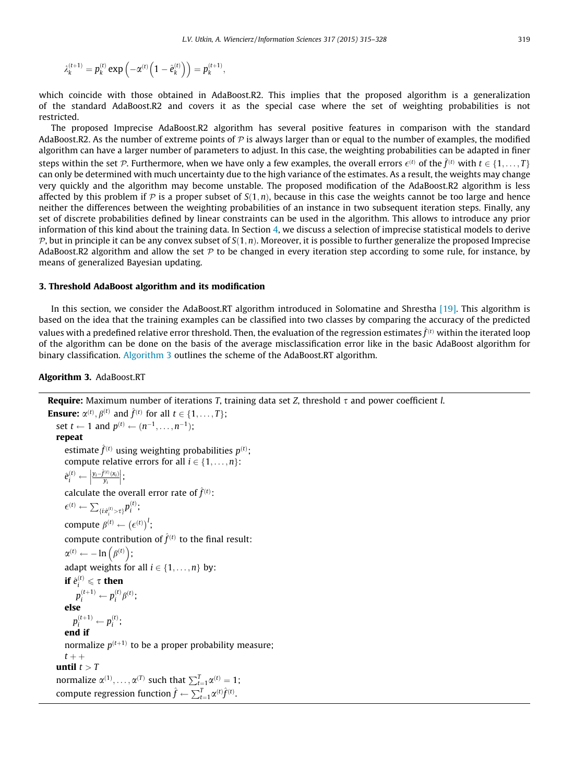$$
\lambda_k^{(t+1)}=p_k^{(t)}\exp\left(-\alpha^{(t)}\Big(1-\hat{e}_k^{(t)}\Big)\right)=p_k^{(t+1)},
$$

which coincide with those obtained in AdaBoost.R2. This implies that the proposed algorithm is a generalization of the standard AdaBoost.R2 and covers it as the special case where the set of weighting probabilities is not restricted.

The proposed Imprecise AdaBoost.R2 algorithm has several positive features in comparison with the standard AdaBoost.R2. As the number of extreme points of  $P$  is always larger than or equal to the number of examples, the modified algorithm can have a larger number of parameters to adjust. In this case, the weighting probabilities can be adapted in finer steps within the set  $\cal P$ . Furthermore, when we have only a few examples, the overall errors  $\epsilon^{(t)}$  of the  $\hat f^{(t)}$  with  $t\in\{1,\ldots,T\}$ can only be determined with much uncertainty due to the high variance of the estimates. As a result, the weights may change very quickly and the algorithm may become unstable. The proposed modification of the AdaBoost.R2 algorithm is less affected by this problem if  $P$  is a proper subset of  $S(1, n)$ , because in this case the weights cannot be too large and hence neither the differences between the weighting probabilities of an instance in two subsequent iteration steps. Finally, any set of discrete probabilities defined by linear constraints can be used in the algorithm. This allows to introduce any prior information of this kind about the training data. In Section [4,](#page-6-0) we discuss a selection of imprecise statistical models to derive  $P$ , but in principle it can be any convex subset of  $S(1,n)$ . Moreover, it is possible to further generalize the proposed Imprecise AdaBoost.R2 algorithm and allow the set  $P$  to be changed in every iteration step according to some rule, for instance, by means of generalized Bayesian updating.

# 3. Threshold AdaBoost algorithm and its modification

In this section, we consider the AdaBoost.RT algorithm introduced in Solomatine and Shrestha [\[19\].](#page-13-0) This algorithm is based on the idea that the training examples can be classified into two classes by comparing the accuracy of the predicted values with a predefined relative error threshold. Then, the evaluation of the regression estimates  $\hat{f}^{(t)}$  within the iterated loop of the algorithm can be done on the basis of the average misclassification error like in the basic AdaBoost algorithm for binary classification. Algorithm 3 outlines the scheme of the AdaBoost.RT algorithm.

# Algorithm 3. AdaBoost.RT

```
Require: Maximum number of iterations T, training data set Z, threshold \tau and power coefficient l.
Ensure: \alpha^{(t)}, \beta^{(t)} and \hat{f}^{(t)} for all t \in \{1, \ldots, T\};
   set t \leftarrow 1 and p^{(t)} \leftarrow (n^{-1}, \dots, n^{-1});
   repeat
       estimate \hat{f}^{(t)} using weighting probabilities p^{(t)};
      compute relative errors for all i \in \{1, \ldots, n\}:
       \hat{e}^{(t)}_i \leftarrow \left| \frac{y_i - \hat{f}^{(t)}(x_i)}{y_i} \right|\begin{array}{c} \n\end{array}

;
       calculate the overall error rate of \hat{f}^{(t)}:
       \epsilon^{(t)} \leftarrow \sum_{\{i:\hat{e}_i^{(t)} > \tau\}} p_i^{(t)};compute \beta^{(t)} \leftarrow (\epsilon^{(t)})^l;
       compute contribution of \hat{f}^{(t)} to the final result:
       \alpha^{(t)} \leftarrow -\ln\left(\beta^{(t)}\right);adapt weights for all i \in \{1, \ldots, n\} by:
       if \hat{e}^{(t)}_i \leqslant \tau then
            p_i^{(t+1)} \leftarrow p_i^{(t)} \beta^{(t)};
      else
           p_i^{(t+1)} \leftarrow p_i^{(t)};
       end if
       normalize p^{(t+1)} to be a proper probability measure;
      t + +until t > Tnormalize \alpha^{(1)}, \ldots, \alpha^{(T)} such that \sum_{t=1}^{T} \alpha^{(t)} = 1;
    compute regression function \hat{f} \leftarrow \sum_{t=1}^T \alpha^{(t)} \hat{f}^{(t)}.
```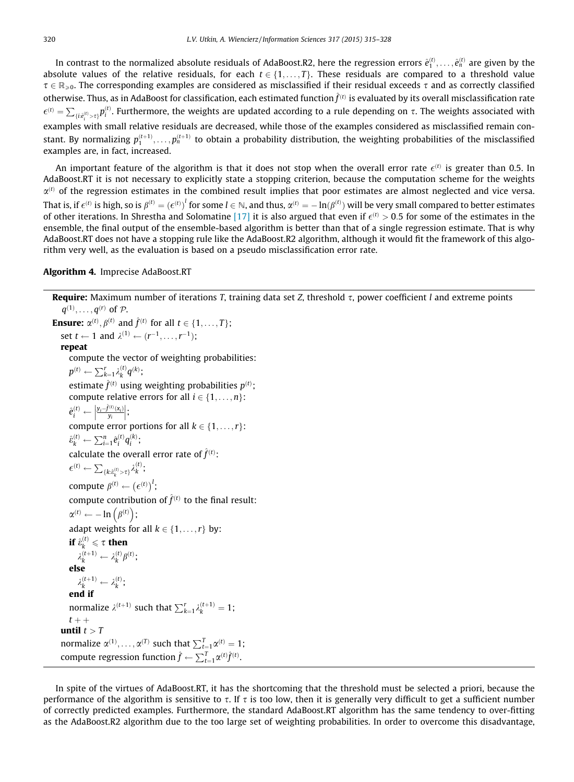<span id="page-5-0"></span>In contrast to the normalized absolute residuals of AdaBoost.R2, here the regression errors  $\hat{e}_1^{(t)},\ldots,\hat{e}_n^{(t)}$  are given by the absolute values of the relative residuals, for each  $t \in \{1, \ldots, T\}$ . These residuals are compared to a threshold value  $\tau \in \mathbb{R}_{>0}$ . The corresponding examples are considered as misclassified if their residual exceeds  $\tau$  and as correctly classified otherwise. Thus, as in AdaBoost for classification, each estimated function  $\hat{f}^{(t)}$  is evaluated by its overall misclassification rate  $\epsilon^{(t)} = \sum_{\{i:\hat{e}_i^{(t)} > \tau\}} p_i^{(t)}$ . Furthermore, the weights are updated according to a rule depending on  $\tau$ . The weights associated with examples with small relative residuals are decreased, while those of the examples considered as misclassified remain constant. By normalizing  $p_1^{(t+1)},\ldots,p_n^{(t+1)}$  to obtain a probability distribution, the weighting probabilities of the misclassified examples are, in fact, increased.

An important feature of the algorithm is that it does not stop when the overall error rate  $\epsilon^{(t)}$  is greater than 0.5. In AdaBoost.RT it is not necessary to explicitly state a stopping criterion, because the computation scheme for the weights  $\alpha^{(t)}$  of the regression estimates in the combined result implies that poor estimates are almost neglected and vice versa. That is, if  $\epsilon^{(t)}$  is high, so is  $\beta^{(t)}=\left(\epsilon^{(t)}\right)^l$  for some  $l\in\mathbb{N}$ , and thus,  $\alpha^{(t)}=-\ln(\beta^{(t)})$  will be very small compared to better estimates of other iterations. In Shrestha and Solomatine [\[17\]](#page-13-0) it is also argued that even if  $\epsilon^{(t)} > 0.5$  for some of the estimates in the ensemble, the final output of the ensemble-based algorithm is better than that of a single regression estimate. That is why AdaBoost.RT does not have a stopping rule like the AdaBoost.R2 algorithm, although it would fit the framework of this algorithm very well, as the evaluation is based on a pseudo misclassification error rate.

#### Algorithm 4. Imprecise AdaBoost.RT

```
Require: Maximum number of iterations T, training data set Z, threshold \tau, power coefficient l and extreme points
     q^{(1)}, \ldots, q^{(r)} of \mathcal{P}.
Ensure: \alpha^{(t)}, \beta^{(t)} and \hat{f}^{(t)} for all t \in \{1, \ldots, T\};
    set t \leftarrow 1 and \lambda^{(1)} \leftarrow (r^{-1}, \dots, r^{-1}):
    repeat
        compute the vector of weighting probabilities:
        p^{(t)} \leftarrow \sum_{k=1}^r \lambda_k^{(t)} q^{(k)};
        estimate \hat{f}^{(t)} using weighting probabilities p^{(t)};
       compute relative errors for all i \in \{1, \ldots, n\}:
        \hat{e}_i^{(t)} \leftarrow \left| \frac{y_i - \hat{f}^{(t)}(x_i)}{y_i} \right|\frac{1}{2}

;
       compute error portions for all k \in \{1, \ldots, r\}:
        \hat{\varepsilon}_k^{(t)} \leftarrow \sum_{i=1}^n \hat{e}_i^{(t)} q_i^{(k)};
        calculate the overall error rate of \hat{f}^{(t)}:
        \epsilon^{(t)} \leftarrow \sum_{\{k:\hat{\epsilon}^{(t)}_k > \tau\}} \lambda^{(t)}_k;
        compute \beta^{(t)} \leftarrow (\epsilon^{(t)})^l;
        compute contribution of \hat{f}^{(t)} to the final result:
        \alpha^{(t)} \leftarrow -\ln\left(\beta^{(t)}\right);adapt weights for all k \in \{1, \ldots, r\} by:
        if \hat{\varepsilon}^{(t)}_k \leqslant \tau then
            \lambda_k^{(t+1)} \leftarrow \lambda_k^{(t)} \beta^{(t)};
       else
            \lambda_k^{(t+1)} \leftarrow \lambda_k^{(t)};
        end if
        normalize \lambda^{(t+1)} such that \sum_{k=1}^{r} \lambda_k^{(t+1)} = 1;
       t + +until t > Tnormalize \alpha^{(1)}, \ldots, \alpha^{(T)} such that \sum_{t=1}^{T} \alpha^{(t)} = 1;
    compute regression function \hat{f} \leftarrow \sum_{t=1}^{T} \alpha^{(t)} \hat{f}^{(t)}.
```
In spite of the virtues of AdaBoost.RT, it has the shortcoming that the threshold must be selected a priori, because the performance of the algorithm is sensitive to  $\tau$ . If  $\tau$  is too low, then it is generally very difficult to get a sufficient number of correctly predicted examples. Furthermore, the standard AdaBoost.RT algorithm has the same tendency to over-fitting as the AdaBoost.R2 algorithm due to the too large set of weighting probabilities. In order to overcome this disadvantage,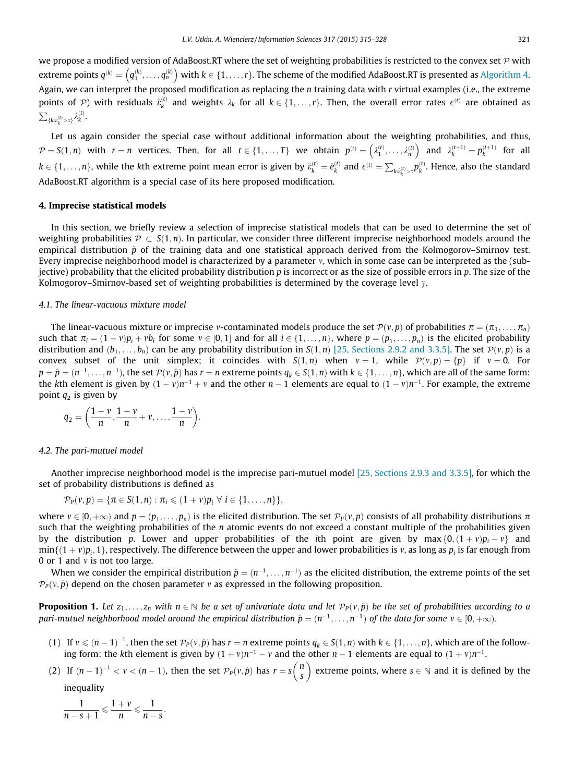<span id="page-6-0"></span>we propose a modified version of AdaBoost.RT where the set of weighting probabilities is restricted to the convex set  $P$  with extreme points  $q^{(k)} = (q_1^{(k)}, \ldots, q_n^{(k)})$  with  $k \in \{1, \ldots, r\}$ . The scheme of the modified AdaBoost.RT is presented as [Algorithm 4](#page-5-0). Again, we can interpret the proposed modification as replacing the n training data with r virtual examples (i.e., the extreme points of  $\mathcal{P}$ ) with residuals  $\hat{\epsilon}^{(t)}_k$  and weights  $\lambda_k$  for all  $k \in \{1,\ldots,r\}$ . Then, the overall error rates  $\epsilon^{(t)}$  are obtained as  $\sum_{\{k:\hat{\pmb{\varepsilon}}^{(t)}_k > \tau\}} \lambda^{(t)}_k$ .

Let us again consider the special case without additional information about the weighting probabilities, and thus,  $\mathcal{P} = S(1,n)$  with  $r = n$  vertices. Then, for all  $t \in \{1,\ldots,T\}$  we obtain  $p^{(t)} = \left(\lambda_1^{(t)},\ldots,\lambda_n^{(t)}\right)$  $\left(\lambda_1^{(t)},\ldots,\lambda_n^{(t)}\right)$  and  $\lambda_k^{(t+1)} = p_k^{(t+1)}$  for all  $k \in \{1,\ldots,n\},$  while the kth extreme point mean error is given by  $\hat{e}_k^{(t)} = \hat{e}_k^{(t)}$  and  $\epsilon^{(t)} = \sum_{k:\hat{e}_k^{(t)} > \tau} p_k^{(t)}.$  Hence, also the standard AdaBoost.RT algorithm is a special case of its here proposed modification.

#### 4. Imprecise statistical models

In this section, we briefly review a selection of imprecise statistical models that can be used to determine the set of weighting probabilities  $\mathcal{P}\subset S(1,n).$  In particular, we consider three different imprecise neighborhood models around the empirical distribution  $\hat{p}$  of the training data and one statistical approach derived from the Kolmogorov–Smirnov test. Every imprecise neighborhood model is characterized by a parameter  $v$ , which in some case can be interpreted as the (subjective) probability that the elicited probability distribution  $p$  is incorrect or as the size of possible errors in  $p$ . The size of the Kolmogorov–Smirnov-based set of weighting probabilities is determined by the coverage level  $\gamma$ .

#### 4.1. The linear-vacuous mixture model

The linear-vacuous mixture or imprecise *v*-contaminated models produce the set  $\mathcal{P}(v, p)$  of probabilities  $\pi = (\pi_1, \ldots, \pi_n)$ such that  $\pi_i = (1 - v)p_i + vb_i$  for some  $v \in [0, 1]$  and for all  $i \in \{1, \ldots, n\}$ , where  $p = (p_1, \ldots, p_n)$  is the elicited probability distribution and  $(b_1, \ldots, b_n)$  can be any probability distribution in  $S(1, n)$  [\[25, Sections 2.9.2 and 3.3.5\]](#page-13-0). The set  $\mathcal{P}(v, p)$  is a convex subset of the unit simplex; it coincides with  $S(1,n)$  when  $v = 1$ , while  $P(v, p) = \{p\}$  if  $v = 0$ . For  $p = \hat{p} = (n^{-1}, \ldots, n^{-1})$ , the set  $\mathcal{P}(v, \hat{p})$  has  $r = n$  extreme points  $q_k \in S(1, n)$  with  $k \in \{1, \ldots, n\}$ , which are all of the same form: the kth element is given by  $(1 - v)n^{-1} + v$  and the other  $n - 1$  elements are equal to  $(1 - v)n^{-1}$ . For example, the extreme point  $q_2$  is given by

$$
q_2=\bigg(\frac{1-\nu}{n},\frac{1-\nu}{n}+\nu,\ldots,\frac{1-\nu}{n}\bigg).
$$

#### 4.2. The pari-mutuel model

Another imprecise neighborhood model is the imprecise pari-mutuel model [\[25, Sections 2.9.3 and 3.3.5\],](#page-13-0) for which the set of probability distributions is defined as

$$
\mathcal{P}_P(\nu,p)=\{\pi\in S(1,n):\pi_i\leqslant (1+\nu)p_i\,\,\forall\,\,i\in\{1,\ldots,n\}\},
$$

where  $v \in [0, +\infty)$  and  $p = (p_1, \ldots, p_n)$  is the elicited distribution. The set  $\mathcal{P}_p(v, p)$  consists of all probability distributions  $\pi$ such that the weighting probabilities of the  $n$  atomic events do not exceed a constant multiple of the probabilities given by the distribution p. Lower and upper probabilities of the ith point are given by max  $\{0, (1 + v)p_i - v\}$  and  $\min\{(1 + v)p_i, 1\}$ , respectively. The difference between the upper and lower probabilities is v, as long as p<sub>i</sub> is far enough from 0 or 1 and  $\nu$  is not too large.

When we consider the empirical distribution  $\hat{p} = (n^{-1}, \ldots, n^{-1})$  as the elicited distribution, the extreme points of the set  $\mathcal{P}_P(\nu, \hat{p})$  depend on the chosen parameter v as expressed in the following proposition.

**Proposition 1.** Let  $z_1, \ldots, z_n$  with  $n \in \mathbb{N}$  be a set of univariate data and let  $\mathcal{P}_P(v, \hat{p})$  be the set of probabilities according to a pari-mutuel neighborhood model around the empirical distribution  $\hat{p} = (n^{-1}, \ldots, n^{-1})$  of the data for some  $v \in [0, +\infty)$ .

- (1) If  $v \leqslant (n-1)^{-1}$ , then the set  $\mathcal{P}_P(v,\hat{p})$  has  $r = n$  extreme points  $q_k \in S(1,n)$  with  $k \in \{1,\ldots,n\}$ , which are of the following form: the kth element is given by  $(1 + v)n^{-1} - v$  and the other  $n - 1$  elements are equal to  $(1 + v)n^{-1}$ .  $\left\langle n\right\rangle$
- (2) If  $(n 1)^{-1} < v < (n 1)$ , then the set  $\mathcal{P}_P(v, \hat{p})$  has  $r = s \binom{n}{s}$ extreme points, where  $s \in \mathbb{N}$  and it is defined by the inequality

$$
\frac{1}{n-s+1} \leqslant \frac{1+\nu}{n} \leqslant \frac{1}{n-s}.
$$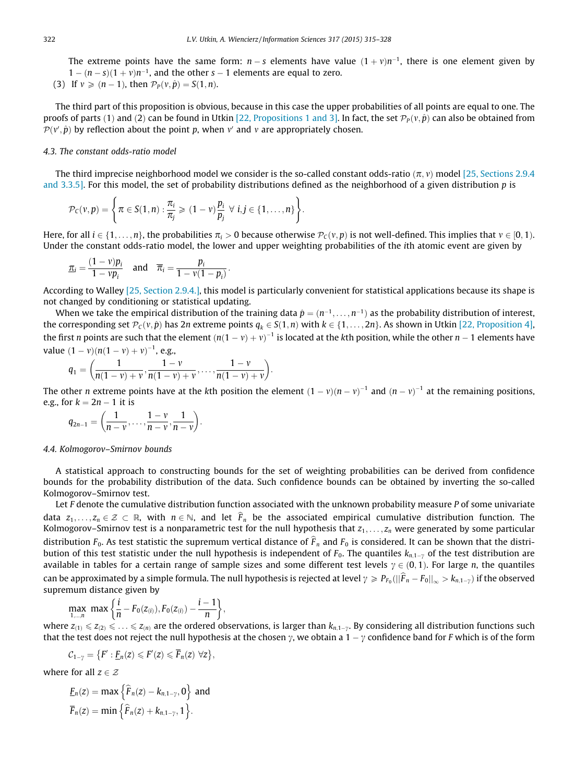The extreme points have the same form:  $n - s$  elements have value  $(1 + v)n^{-1}$ , there is one element given by  $1 - (n - s)(1 + v)n^{-1}$ , and the other s – 1 elements are equal to zero.

(3) If  $v \geqslant (n - 1)$ , then  $\mathcal{P}_p(v, \hat{p}) = S(1, n)$ .

The third part of this proposition is obvious, because in this case the upper probabilities of all points are equal to one. The proofs of parts (1) and (2) can be found in Utkin [\[22, Propositions 1 and 3\]](#page-13-0). In fact, the set  $\mathcal{P}_P(v, \hat{p})$  can also be obtained from  $\mathcal{P}(v', \hat{p})$  by reflection about the point p, when v' and v are appropriately chosen.

# 4.3. The constant odds-ratio model

The third imprecise neighborhood model we consider is the so-called constant odds-ratio  $(\pi, v)$  model [\[25, Sections 2.9.4](#page-13-0)] [and 3.3.5\]](#page-13-0). For this model, the set of probability distributions defined as the neighborhood of a given distribution  $p$  is

$$
\mathcal{P}_C(v,p) = \left\{ \pi \in S(1,n) : \frac{\pi_i}{\pi_j} \geqslant (1-v)\frac{p_i}{p_j} \ \forall \ i,j \in \{1,\ldots,n\} \right\}.
$$

Here, for all  $i \in \{1,\ldots,n\}$ , the probabilities  $\pi_i > 0$  because otherwise  $\mathcal{P}_C(v,p)$  is not well-defined. This implies that  $v \in [0,1)$ . Under the constant odds-ratio model, the lower and upper weighting probabilities of the ith atomic event are given by

$$
\underline{\pi_i} = \frac{(1-\nu)p_i}{1-\nu p_i} \quad \text{and} \quad \overline{\pi_i} = \frac{p_i}{1-\nu(1-p_i)}.
$$

According to Walley [\[25, Section 2.9.4.\]](#page-13-0), this model is particularly convenient for statistical applications because its shape is not changed by conditioning or statistical updating.

When we take the empirical distribution of the training data  $\hat{p} = (n^{-1}, \ldots, n^{-1})$  as the probability distribution of interest, the corresponding set  $\mathcal{P}_c(v, \hat{p})$  has 2n extreme points  $q_k \in S(1,n)$  with  $k \in \{1, \ldots, 2n\}$ . As shown in Utkin [\[22, Proposition 4\],](#page-13-0) the first n points are such that the element  $(n(1-v)+v)^{-1}$  is located at the kth position, while the other  $n-1$  elements have value  $(1 - v)(n(1 - v) + v)^{-1}$ , e.g.,

$$
q_1 = \left(\frac{1}{n(1-\nu)+\nu}, \frac{1-\nu}{n(1-\nu)+\nu}, \ldots, \frac{1-\nu}{n(1-\nu)+\nu}\right).
$$

The other n extreme points have at the kth position the element  $(1-v)(n-v)^{-1}$  and  $(n-v)^{-1}$  at the remaining positions, e.g., for  $k = 2n - 1$  it is

$$
q_{2n-1}=\bigg(\frac{1}{n-\nu},\ldots,\frac{1-\nu}{n-\nu},\frac{1}{n-\nu}\bigg).
$$

#### 4.4. Kolmogorov–Smirnov bounds

A statistical approach to constructing bounds for the set of weighting probabilities can be derived from confidence bounds for the probability distribution of the data. Such confidence bounds can be obtained by inverting the so-called Kolmogorov–Smirnov test.

Let F denote the cumulative distribution function associated with the unknown probability measure P of some univariate data  $z_1,\ldots,z_n\in\mathcal{Z}\subset\mathbb{R}$ , with  $n\in\mathbb{N}$ , and let  $F_n$  be the associated empirical cumulative distribution function. The Kolmogorov–Smirnov test is a nonparametric test for the null hypothesis that  $z_1, \ldots, z_n$  were generated by some particular distribution  $F_0$ . As test statistic the supremum vertical distance of  $\hat{F}_n$  and  $F_0$  is considered. It can be shown that the distribution of this test statistic under the null hypothesis is independent of  $F_0$ . The quantiles  $k_{n,1}$ , of the test distribution are available in tables for a certain range of sample sizes and some different test levels  $\gamma \in (0,1)$ . For large n, the quantiles can be approximated by a simple formula. The null hypothesis is rejected at level  $\gamma \ge P_{F_0}(\|\hat{F}_n - F_0\|_{\infty} > k_{n,1-\gamma})$  if the observed supremum distance given by

$$
\max_{1,\dots,n} \, \max\bigg\{\frac{i}{n} - F_0(z_{(i)}), F_0(z_{(i)}) - \frac{i-1}{n}\bigg\},\,
$$

where  $z_{(1)} \leq z_{(2)} \leq \ldots \leq z_{(n)}$  are the ordered observations, is larger than  $k_{n,1-y}$ . By considering all distribution functions such that the test does not reject the null hypothesis at the chosen  $\gamma$ , we obtain a  $1 - \gamma$  confidence band for F which is of the form

$$
C_{1-\gamma} = \{F': \underline{F}_n(z) \leqslant F'(z) \leqslant \overline{F}_n(z) \,\,\forall z\},
$$

where for all  $z \in \mathcal{Z}$ 

$$
\underline{F}_n(z) = \max \left\{ \widehat{F}_n(z) - k_{n,1-\gamma}, 0 \right\} \text{ and}
$$
  

$$
\overline{F}_n(z) = \min \left\{ \widehat{F}_n(z) + k_{n,1-\gamma}, 1 \right\}.
$$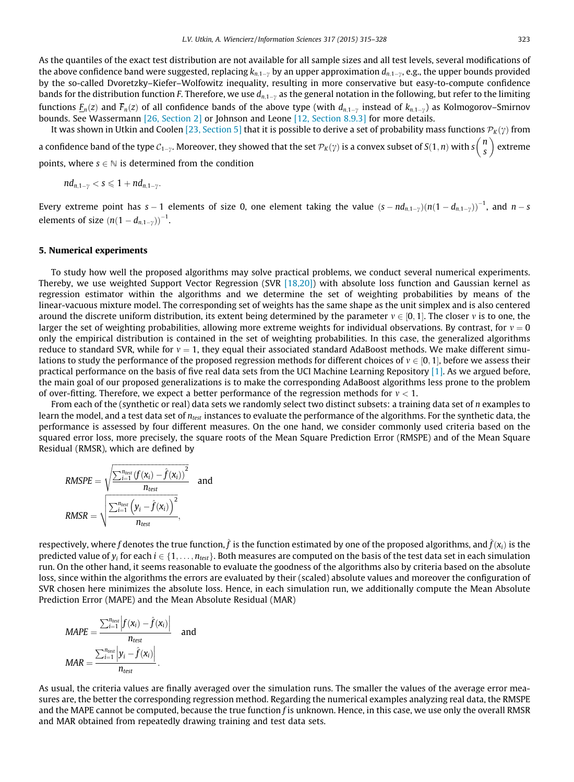It was shown in Utkin and Coolen [\[23, Section 5\]](#page-13-0) that it is possible to derive a set of probability mass functions  $\mathcal{P}_k(\gamma)$  from a confidence band of the type  $\mathcal{C}_{1-\gamma}.$  Moreover, they showed that the set  $\mathcal{P}_K(\gamma)$  is a convex subset of  $S(1,n)$  with  $s\binom{n}{S}$  $\sqrt{n}$ extreme

points, where  $s \in \mathbb{N}$  is determined from the condition

$$
nd_{n,1-\gamma}
$$

Every extreme point has s – 1 elements of size 0, one element taking the value  $(s-nd_{n,1-\gamma})(n(1-d_{n,1-\gamma}))^{-1}$ , and  $n-s$ elements of size  $(n(1-d_{n,1-\gamma}))^{-1}$ .

### 5. Numerical experiments

To study how well the proposed algorithms may solve practical problems, we conduct several numerical experiments. Thereby, we use weighted Support Vector Regression (SVR [\[18,20\]\)](#page-13-0) with absolute loss function and Gaussian kernel as regression estimator within the algorithms and we determine the set of weighting probabilities by means of the linear-vacuous mixture model. The corresponding set of weights has the same shape as the unit simplex and is also centered around the discrete uniform distribution, its extent being determined by the parameter  $v \in [0, 1]$ . The closer v is to one, the larger the set of weighting probabilities, allowing more extreme weights for individual observations. By contrast, for  $v = 0$ only the empirical distribution is contained in the set of weighting probabilities. In this case, the generalized algorithms reduce to standard SVR, while for  $v = 1$ , they equal their associated standard AdaBoost methods. We make different simulations to study the performance of the proposed regression methods for different choices of  $v \in [0, 1]$ , before we assess their practical performance on the basis of five real data sets from the UCI Machine Learning Repository [\[1\]](#page-13-0). As we argued before, the main goal of our proposed generalizations is to make the corresponding AdaBoost algorithms less prone to the problem of over-fitting. Therefore, we expect a better performance of the regression methods for  $v < 1$ .

From each of the (synthetic or real) data sets we randomly select two distinct subsets: a training data set of n examples to learn the model, and a test data set of n<sub>test</sub> instances to evaluate the performance of the algorithms. For the synthetic data, the performance is assessed by four different measures. On the one hand, we consider commonly used criteria based on the squared error loss, more precisely, the square roots of the Mean Square Prediction Error (RMSPE) and of the Mean Square Residual (RMSR), which are defined by

$$
RMSPE = \sqrt{\frac{\sum_{i=1}^{n_{test}} (f(x_i) - \hat{f}(x_i))^{2}}{n_{test}}}
$$
 and  

$$
RMSR = \sqrt{\frac{\sum_{i=1}^{n_{test}} (y_i - \hat{f}(x_i))^{2}}{n_{test}}}
$$
,

respectively, where f denotes the true function,  $\hat{f}$  is the function estimated by one of the proposed algorithms, and  $\hat{f}(x_i)$  is the predicted value of  $y_i$  for each  $i \in \{1, \ldots, n_{test}\}$ . Both measures are computed on the basis of the test data set in each simulation run. On the other hand, it seems reasonable to evaluate the goodness of the algorithms also by criteria based on the absolute loss, since within the algorithms the errors are evaluated by their (scaled) absolute values and moreover the configuration of SVR chosen here minimizes the absolute loss. Hence, in each simulation run, we additionally compute the Mean Absolute Prediction Error (MAPE) and the Mean Absolute Residual (MAR)

$$
MAPE = \frac{\sum_{i=1}^{n_{test}} |f(x_i) - \hat{f}(x_i)|}{n_{test}} \quad \text{and}
$$

$$
MAR = \frac{\sum_{i=1}^{n_{test}} |y_i - \hat{f}(x_i)|}{n_{test}}.
$$

As usual, the criteria values are finally averaged over the simulation runs. The smaller the values of the average error measures are, the better the corresponding regression method. Regarding the numerical examples analyzing real data, the RMSPE and the MAPE cannot be computed, because the true function f is unknown. Hence, in this case, we use only the overall RMSR and MAR obtained from repeatedly drawing training and test data sets.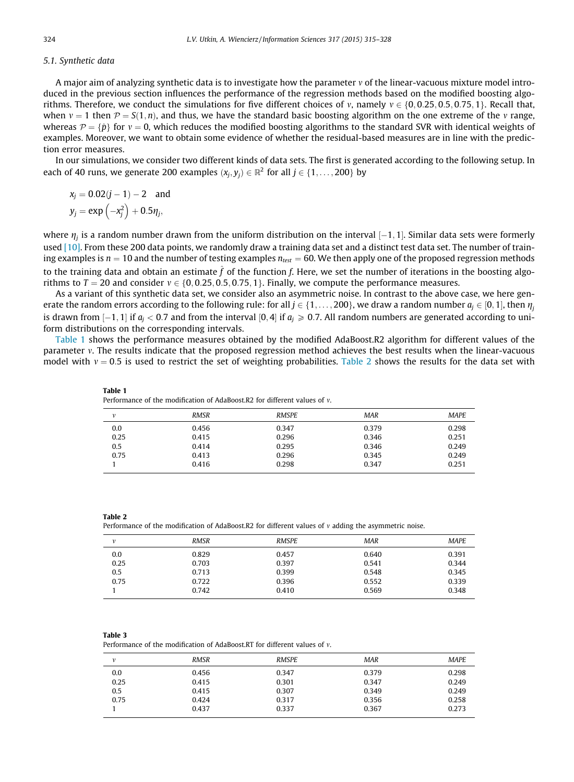# <span id="page-9-0"></span>5.1. Synthetic data

A major aim of analyzing synthetic data is to investigate how the parameter  $v$  of the linear-vacuous mixture model introduced in the previous section influences the performance of the regression methods based on the modified boosting algorithms. Therefore, we conduct the simulations for five different choices of v, namely  $v \in \{0, 0.25, 0.5, 0.75, 1\}$ . Recall that, when  $v = 1$  then  $\mathcal{P} = S(1, n)$ , and thus, we have the standard basic boosting algorithm on the one extreme of the v range, whereas  $\mathcal{P} = \{\hat{p}\}\$  for  $v = 0$ , which reduces the modified boosting algorithms to the standard SVR with identical weights of examples. Moreover, we want to obtain some evidence of whether the residual-based measures are in line with the prediction error measures.

In our simulations, we consider two different kinds of data sets. The first is generated according to the following setup. In each of 40 runs, we generate 200 examples  $(x_i, y_i) \in \mathbb{R}^2$  for all  $j \in \{1, \ldots, 200\}$  by

$$
x_j = 0.02(j - 1) - 2
$$
 and  

$$
y_j = \exp(-x_j^2) + 0.5\eta_j,
$$

where  $\eta_i$  is a random number drawn from the uniform distribution on the interval  $[-1, 1]$ . Similar data sets were formerly used [\[10\]](#page-13-0). From these 200 data points, we randomly draw a training data set and a distinct test data set. The number of training examples is  $n = 10$  and the number of testing examples  $n_{test} = 60$ . We then apply one of the proposed regression methods to the training data and obtain an estimate  $\hat{f}$  of the function f. Here, we set the number of iterations in the boosting algorithms to  $T = 20$  and consider  $v \in \{0, 0.25, 0.5, 0.75, 1\}$ . Finally, we compute the performance measures.

As a variant of this synthetic data set, we consider also an asymmetric noise. In contrast to the above case, we here generate the random errors according to the following rule: for all  $j \in \{1, \ldots, 200\}$ , we draw a random number  $a_i \in [0, 1]$ , then  $\eta_i$ is drawn from  $[-1, 1]$  if  $a_i < 0.7$  and from the interval  $[0, 4]$  if  $a_i \ge 0.7$ . All random numbers are generated according to uniform distributions on the corresponding intervals.

Table 1 shows the performance measures obtained by the modified AdaBoost.R2 algorithm for different values of the parameter v. The results indicate that the proposed regression method achieves the best results when the linear-vacuous model with  $v = 0.5$  is used to restrict the set of weighting probabilities. Table 2 shows the results for the data set with

| ν    | <b>RMSR</b> | <b>RMSPE</b> | <b>MAR</b> | <b>MAPE</b> |
|------|-------------|--------------|------------|-------------|
| 0.0  | 0.456       | 0.347        | 0.379      | 0.298       |
| 0.25 | 0.415       | 0.296        | 0.346      | 0.251       |
| 0.5  | 0.414       | 0.295        | 0.346      | 0.249       |
| 0.75 | 0.413       | 0.296        | 0.345      | 0.249       |
|      | 0.416       | 0.298        | 0.347      | 0.251       |
|      |             |              |            |             |

Table 2

Table 1

Performance of the modification of AdaBoost.R2 for different values of  $\nu$  adding the asymmetric noise.

Performance of the modification of AdaBoost.R2 for different values of m.

| v    | <b>RMSR</b> | <b>RMSPE</b> | <b>MAR</b> | <b>MAPE</b> |
|------|-------------|--------------|------------|-------------|
| 0.0  | 0.829       | 0.457        | 0.640      | 0.391       |
| 0.25 | 0.703       | 0.397        | 0.541      | 0.344       |
| 0.5  | 0.713       | 0.399        | 0.548      | 0.345       |
| 0.75 | 0.722       | 0.396        | 0.552      | 0.339       |
|      | 0.742       | 0.410        | 0.569      | 0.348       |
|      |             |              |            |             |

|--|--|

Performance of the modification of AdaBoost.RT for different values of  $v$ .

| v    | <b>RMSR</b> | <b>RMSPE</b> | <b>MAR</b> | <b>MAPE</b> |
|------|-------------|--------------|------------|-------------|
| 0.0  | 0.456       | 0.347        | 0.379      | 0.298       |
| 0.25 | 0.415       | 0.301        | 0.347      | 0.249       |
| 0.5  | 0.415       | 0.307        | 0.349      | 0.249       |
| 0.75 | 0.424       | 0.317        | 0.356      | 0.258       |
|      | 0.437       | 0.337        | 0.367      | 0.273       |
|      |             |              |            |             |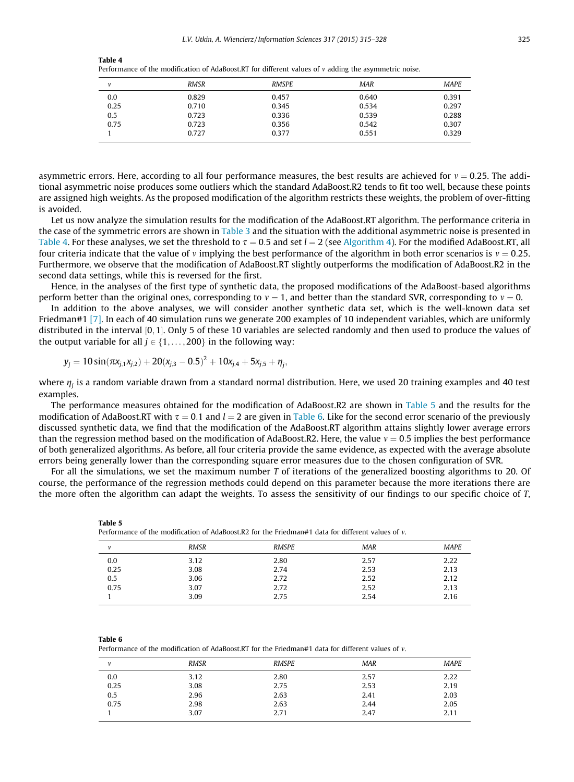|--|--|

Performance of the modification of AdaBoost.RT for different values of  $v$  adding the asymmetric noise.

|      | <b>RMSR</b> | <b>RMSPE</b> | <b>MAR</b> | <b>MAPE</b> |
|------|-------------|--------------|------------|-------------|
| 0.0  | 0.829       | 0.457        | 0.640      | 0.391       |
| 0.25 | 0.710       | 0.345        | 0.534      | 0.297       |
| 0.5  | 0.723       | 0.336        | 0.539      | 0.288       |
| 0.75 | 0.723       | 0.356        | 0.542      | 0.307       |
|      | 0.727       | 0.377        | 0.551      | 0.329       |

asymmetric errors. Here, according to all four performance measures, the best results are achieved for  $v = 0.25$ . The additional asymmetric noise produces some outliers which the standard AdaBoost.R2 tends to fit too well, because these points are assigned high weights. As the proposed modification of the algorithm restricts these weights, the problem of over-fitting is avoided.

Let us now analyze the simulation results for the modification of the AdaBoost.RT algorithm. The performance criteria in the case of the symmetric errors are shown in [Table 3](#page-9-0) and the situation with the additional asymmetric noise is presented in Table 4. For these analyses, we set the threshold to  $\tau = 0.5$  and set  $l = 2$  (see [Algorithm 4](#page-5-0)). For the modified AdaBoost.RT, all four criteria indicate that the value of v implying the best performance of the algorithm in both error scenarios is  $v = 0.25$ . Furthermore, we observe that the modification of AdaBoost.RT slightly outperforms the modification of AdaBoost.R2 in the second data settings, while this is reversed for the first.

Hence, in the analyses of the first type of synthetic data, the proposed modifications of the AdaBoost-based algorithms perform better than the original ones, corresponding to  $v = 1$ , and better than the standard SVR, corresponding to  $v = 0$ .

In addition to the above analyses, we will consider another synthetic data set, which is the well-known data set Friedman#1 [\[7\]](#page-13-0). In each of 40 simulation runs we generate 200 examples of 10 independent variables, which are uniformly distributed in the interval [0, 1]. Only 5 of these 10 variables are selected randomly and then used to produce the values of the output variable for all  $j \in \{1, \ldots, 200\}$  in the following way:

$$
y_j = 10\sin(\pi x_{j,1}x_{j,2}) + 20(x_{j,3} - 0.5)^2 + 10x_{j,4} + 5x_{j,5} + \eta_j,
$$

where  $\eta_i$  is a random variable drawn from a standard normal distribution. Here, we used 20 training examples and 40 test examples.

The performance measures obtained for the modification of AdaBoost.R2 are shown in Table 5 and the results for the modification of AdaBoost.RT with  $\tau = 0.1$  and  $l = 2$  are given in Table 6. Like for the second error scenario of the previously discussed synthetic data, we find that the modification of the AdaBoost.RT algorithm attains slightly lower average errors than the regression method based on the modification of AdaBoost.R2. Here, the value  $v = 0.5$  implies the best performance of both generalized algorithms. As before, all four criteria provide the same evidence, as expected with the average absolute errors being generally lower than the corresponding square error measures due to the chosen configuration of SVR.

For all the simulations, we set the maximum number T of iterations of the generalized boosting algorithms to 20. Of course, the performance of the regression methods could depend on this parameter because the more iterations there are the more often the algorithm can adapt the weights. To assess the sensitivity of our findings to our specific choice of T,

|      |             | Performance of the modification of AdaBoost.R2 for the Friedman#1 data for different values of $v$ . |            |             |
|------|-------------|------------------------------------------------------------------------------------------------------|------------|-------------|
| v    | <b>RMSR</b> | <b>RMSPE</b>                                                                                         | <b>MAR</b> | <b>MAPE</b> |
| 0.0  | 3.12        | 2.80                                                                                                 | 2.57       | 2.22        |
| 0.25 | 3.08        | 2.74                                                                                                 | 2.53       | 2.13        |
| 0.5  | 3.06        | 2.72                                                                                                 | 2.52       | 2.12        |
| 0.75 | 3.07        | 2.72                                                                                                 | 2.52       | 2.13        |
|      | 3.09        | 2.75                                                                                                 | 2.54       | 2.16        |

Table 6

Table 5

Performance of the modification of AdaBoost.RT for the Friedman#1 data for different values of  $v$ .

| $\mathbf{v}$ | <b>RMSR</b> | <b>RMSPE</b> | <b>MAR</b> | <b>MAPE</b> |
|--------------|-------------|--------------|------------|-------------|
| 0.0          | 3.12        | 2.80         | 2.57       | 2.22        |
| 0.25         | 3.08        | 2.75         | 2.53       | 2.19        |
| 0.5          | 2.96        | 2.63         | 2.41       | 2.03        |
| 0.75         | 2.98        | 2.63         | 2.44       | 2.05        |
|              | 3.07        | 2.71         | 2.47       | 2.11        |
|              |             |              |            |             |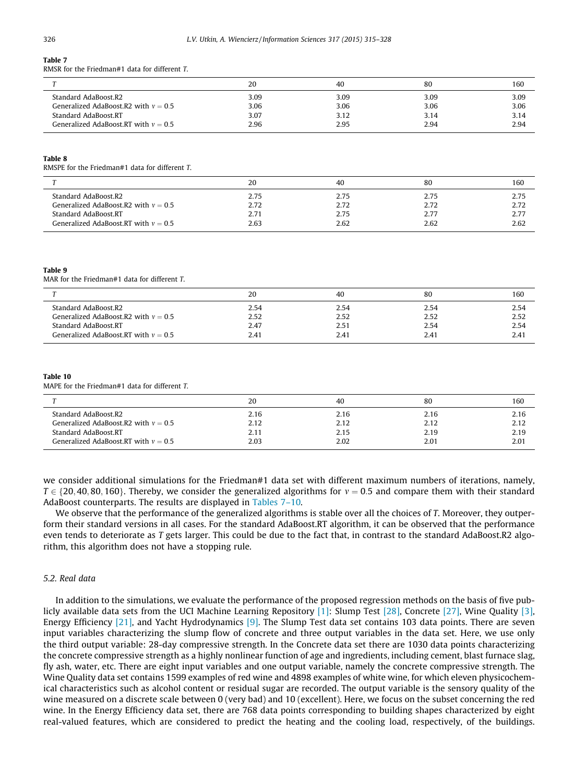# Table 7

RMSR for the Friedman#1 data for different T.

| <b>CONTRACTOR</b>                      | 20   | 40   | 80   | 160  |
|----------------------------------------|------|------|------|------|
| Standard AdaBoost.R2                   | 3.09 | 3.09 | 3.09 | 3.09 |
| Generalized AdaBoost.R2 with $v = 0.5$ | 3.06 | 3.06 | 3.06 | 3.06 |
| Standard AdaBoost.RT                   | 3.07 | 3.12 | 3.14 | 3.14 |
| Generalized AdaBoost.RT with $v = 0.5$ | 2.96 | 2.95 | 2.94 | 2.94 |

#### Table 8

RMSPE for the Friedman#1 data for different T.

|                                        | 20   | 40   | 80   | 160  |
|----------------------------------------|------|------|------|------|
| Standard AdaBoost.R2                   | 2.75 | 2.75 | 2.75 | 2.75 |
| Generalized AdaBoost.R2 with $v = 0.5$ | 2.72 | 2.72 | 2.72 | 2.72 |
| Standard AdaBoost.RT                   | 2.71 | 2.75 | 2.77 | 2.77 |
| Generalized AdaBoost.RT with $v = 0.5$ | 2.63 | 2.62 | 2.62 | 2.62 |

#### Table 9

MAR for the Friedman#1 data for different T.

|                                        | 20   | 40   | 80   | 160  |
|----------------------------------------|------|------|------|------|
| Standard AdaBoost.R2                   | 2.54 | 2.54 | 2.54 | 2.54 |
| Generalized AdaBoost.R2 with $v = 0.5$ | 2.52 | 2.52 | 2.52 | 2.52 |
| Standard AdaBoost.RT                   | 2.47 | 2.51 | 2.54 | 2.54 |
| Generalized AdaBoost.RT with $v = 0.5$ | 2.41 | 2.41 | 2.41 | 2.41 |

#### Table 10

MAPE for the Friedman#1 data for different T.

|                                        | 20   | 40   | 80   | 160  |
|----------------------------------------|------|------|------|------|
| Standard AdaBoost.R2                   | 2.16 | 2.16 | 2.16 | 2.16 |
| Generalized AdaBoost.R2 with $v = 0.5$ | 2.12 | 2.12 | 2.12 | 2.12 |
| Standard AdaBoost.RT                   | 2.11 | 2.15 | 2.19 | 2.19 |
| Generalized AdaBoost.RT with $v = 0.5$ | 2.03 | 2.02 | 2.01 | 2.01 |

we consider additional simulations for the Friedman#1 data set with different maximum numbers of iterations, namely,  $T \in \{20, 40, 80, 160\}$ . Thereby, we consider the generalized algorithms for  $v = 0.5$  and compare them with their standard AdaBoost counterparts. The results are displayed in Tables 7–10.

We observe that the performance of the generalized algorithms is stable over all the choices of T. Moreover, they outperform their standard versions in all cases. For the standard AdaBoost.RT algorithm, it can be observed that the performance even tends to deteriorate as T gets larger. This could be due to the fact that, in contrast to the standard AdaBoost.R2 algorithm, this algorithm does not have a stopping rule.

# 5.2. Real data

In addition to the simulations, we evaluate the performance of the proposed regression methods on the basis of five publicly available data sets from the UCI Machine Learning Repository [\[1\]](#page-13-0): Slump Test [\[28\]](#page-13-0), Concrete [\[27\]](#page-13-0), Wine Quality [\[3\],](#page-13-0) Energy Efficiency  $[21]$ , and Yacht Hydrodynamics  $[9]$ . The Slump Test data set contains 103 data points. There are seven input variables characterizing the slump flow of concrete and three output variables in the data set. Here, we use only the third output variable: 28-day compressive strength. In the Concrete data set there are 1030 data points characterizing the concrete compressive strength as a highly nonlinear function of age and ingredients, including cement, blast furnace slag, fly ash, water, etc. There are eight input variables and one output variable, namely the concrete compressive strength. The Wine Quality data set contains 1599 examples of red wine and 4898 examples of white wine, for which eleven physicochemical characteristics such as alcohol content or residual sugar are recorded. The output variable is the sensory quality of the wine measured on a discrete scale between 0 (very bad) and 10 (excellent). Here, we focus on the subset concerning the red wine. In the Energy Efficiency data set, there are 768 data points corresponding to building shapes characterized by eight real-valued features, which are considered to predict the heating and the cooling load, respectively, of the buildings.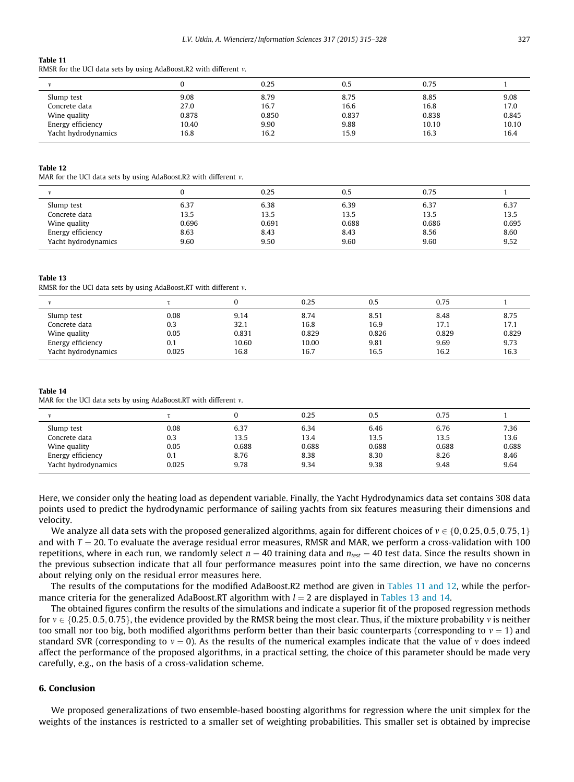#### Table 11

RMSR for the UCI data sets by using AdaBoost.R2 with different  $v$ .

|                     |       | 0.25  | 0.5   | 0.75  |       |
|---------------------|-------|-------|-------|-------|-------|
| Slump test          | 9.08  | 8.79  | 8.75  | 8.85  | 9.08  |
| Concrete data       | 27.0  | 16.7  | 16.6  | 16.8  | 17.0  |
| Wine quality        | 0.878 | 0.850 | 0.837 | 0.838 | 0.845 |
| Energy efficiency   | 10.40 | 9.90  | 9.88  | 10.10 | 10.10 |
| Yacht hydrodynamics | 16.8  | 16.2  | 15.9  | 16.3  | 16.4  |

#### Table 12

MAR for the UCI data sets by using AdaBoost.R2 with different  $v$ .

|                     |       | 0.25  | 0.5   | 0.75  |       |
|---------------------|-------|-------|-------|-------|-------|
| Slump test          | 6.37  | 6.38  | 6.39  | 6.37  | 6.37  |
| Concrete data       | 13.5  | 13.5  | 13.5  | 13.5  | 13.5  |
| Wine quality        | 0.696 | 0.691 | 0.688 | 0.686 | 0.695 |
| Energy efficiency   | 8.63  | 8.43  | 8.43  | 8.56  | 8.60  |
| Yacht hydrodynamics | 9.60  | 9.50  | 9.60  | 9.60  | 9.52  |
|                     |       |       |       |       |       |

#### Table 13

RMSR for the UCI data sets by using AdaBoost.RT with different  $v$ .

|                     |       |       | 0.25  | 0.5   | 0.75  |       |
|---------------------|-------|-------|-------|-------|-------|-------|
| Slump test          | 0.08  | 9.14  | 8.74  | 8.51  | 8.48  | 8.75  |
| Concrete data       | 0.3   | 32.1  | 16.8  | 16.9  | 17.1  | 17.1  |
| Wine quality        | 0.05  | 0.831 | 0.829 | 0.826 | 0.829 | 0.829 |
| Energy efficiency   | 0.1   | 10.60 | 10.00 | 9.81  | 9.69  | 9.73  |
| Yacht hydrodynamics | 0.025 | 16.8  | 16.7  | 16.5  | 16.2  | 16.3  |

#### Table 14

MAR for the UCI data sets by using AdaBoost.RT with different  $v$ .

|                     |       |       | 0.25  | 0.5   | 0.75  |       |
|---------------------|-------|-------|-------|-------|-------|-------|
| Slump test          | 0.08  | 6.37  | 6.34  | 6.46  | 6.76  | 7.36  |
| Concrete data       | 0.3   | 13.5  | 13.4  | 13.5  | 13.5  | 13.6  |
| Wine quality        | 0.05  | 0.688 | 0.688 | 0.688 | 0.688 | 0.688 |
| Energy efficiency   | 0.1   | 8.76  | 8.38  | 8.30  | 8.26  | 8.46  |
| Yacht hydrodynamics | 0.025 | 9.78  | 9.34  | 9.38  | 9.48  | 9.64  |

Here, we consider only the heating load as dependent variable. Finally, the Yacht Hydrodynamics data set contains 308 data points used to predict the hydrodynamic performance of sailing yachts from six features measuring their dimensions and velocity.

We analyze all data sets with the proposed generalized algorithms, again for different choices of  $v \in \{0, 0.25, 0.5, 0.75, 1\}$ and with  $T = 20$ . To evaluate the average residual error measures, RMSR and MAR, we perform a cross-validation with 100 repetitions, where in each run, we randomly select  $n = 40$  training data and  $n_{\text{test}} = 40$  test data. Since the results shown in the previous subsection indicate that all four performance measures point into the same direction, we have no concerns about relying only on the residual error measures here.

The results of the computations for the modified AdaBoost.R2 method are given in Tables 11 and 12, while the performance criteria for the generalized AdaBoost.RT algorithm with  $l = 2$  are displayed in Tables 13 and 14.

The obtained figures confirm the results of the simulations and indicate a superior fit of the proposed regression methods for  $v \in \{0.25, 0.5, 0.75\}$ , the evidence provided by the RMSR being the most clear. Thus, if the mixture probability v is neither too small nor too big, both modified algorithms perform better than their basic counterparts (corresponding to  $y = 1$ ) and standard SVR (corresponding to  $v = 0$ ). As the results of the numerical examples indicate that the value of v does indeed affect the performance of the proposed algorithms, in a practical setting, the choice of this parameter should be made very carefully, e.g., on the basis of a cross-validation scheme.

# 6. Conclusion

We proposed generalizations of two ensemble-based boosting algorithms for regression where the unit simplex for the weights of the instances is restricted to a smaller set of weighting probabilities. This smaller set is obtained by imprecise